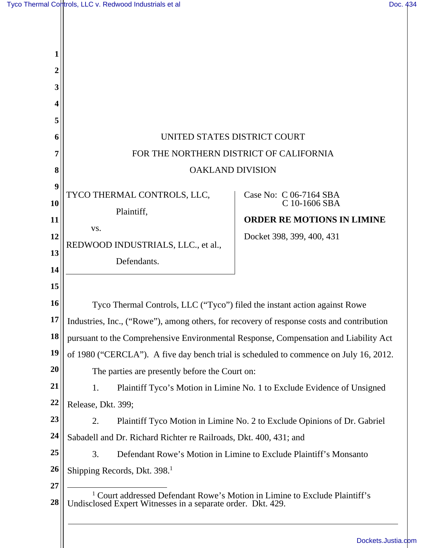| 1                                      |                                                                                                                                                                        |                                                                                                           |  |
|----------------------------------------|------------------------------------------------------------------------------------------------------------------------------------------------------------------------|-----------------------------------------------------------------------------------------------------------|--|
| $\boldsymbol{2}$                       |                                                                                                                                                                        |                                                                                                           |  |
| 3                                      |                                                                                                                                                                        |                                                                                                           |  |
| 4                                      |                                                                                                                                                                        |                                                                                                           |  |
| 5                                      |                                                                                                                                                                        |                                                                                                           |  |
| 6                                      | UNITED STATES DISTRICT COURT                                                                                                                                           |                                                                                                           |  |
| 7                                      | FOR THE NORTHERN DISTRICT OF CALIFORNIA                                                                                                                                |                                                                                                           |  |
| 8                                      | <b>OAKLAND DIVISION</b>                                                                                                                                                |                                                                                                           |  |
| 9<br><b>10</b><br>11<br>12<br>13<br>14 | TYCO THERMAL CONTROLS, LLC,<br>Plaintiff,<br>VS.<br>REDWOOD INDUSTRIALS, LLC., et al.,<br>Defendants.                                                                  | Case No: C 06-7164 SBA<br>C 10-1606 SBA<br><b>ORDER RE MOTIONS IN LIMINE</b><br>Docket 398, 399, 400, 431 |  |
| 15<br><b>16</b><br>17                  | Tyco Thermal Controls, LLC ("Tyco") filed the instant action against Rowe<br>Industries, Inc., ("Rowe"), among others, for recovery of response costs and contribution |                                                                                                           |  |
| 18                                     | pursuant to the Comprehensive Environmental Response, Compensation and Liability Act                                                                                   |                                                                                                           |  |
| 19                                     | of 1980 ("CERCLA"). A five day bench trial is scheduled to commence on July 16, 2012.                                                                                  |                                                                                                           |  |
| 20                                     | The parties are presently before the Court on:                                                                                                                         |                                                                                                           |  |
| 21                                     | Plaintiff Tyco's Motion in Limine No. 1 to Exclude Evidence of Unsigned<br>1.                                                                                          |                                                                                                           |  |
| 22                                     | Release, Dkt. 399;                                                                                                                                                     |                                                                                                           |  |
| 23                                     | 2.                                                                                                                                                                     | Plaintiff Tyco Motion in Limine No. 2 to Exclude Opinions of Dr. Gabriel                                  |  |
| 24                                     | Sabadell and Dr. Richard Richter re Railroads, Dkt. 400, 431; and                                                                                                      |                                                                                                           |  |
| 25                                     | 3.                                                                                                                                                                     | Defendant Rowe's Motion in Limine to Exclude Plaintiff's Monsanto                                         |  |
| 26                                     | Shipping Records, Dkt. 398. <sup>1</sup>                                                                                                                               |                                                                                                           |  |
| 27<br>28                               | <sup>1</sup> Court addressed Defendant Rowe's Motion in Limine to Exclude Plaintiff's<br>Undisclosed Expert Witnesses in a separate order. Dkt. 429.                   |                                                                                                           |  |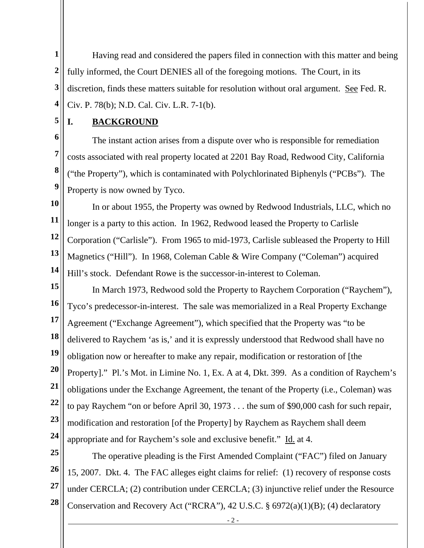**1 2 3 4**  Having read and considered the papers filed in connection with this matter and being fully informed, the Court DENIES all of the foregoing motions. The Court, in its discretion, finds these matters suitable for resolution without oral argument. See Fed. R. Civ. P. 78(b); N.D. Cal. Civ. L.R. 7-1(b).

**5** 

#### **I. BACKGROUND**

**6 7 8 9**  The instant action arises from a dispute over who is responsible for remediation costs associated with real property located at 2201 Bay Road, Redwood City, California ("the Property"), which is contaminated with Polychlorinated Biphenyls ("PCBs"). The Property is now owned by Tyco.

**10 11 12 13 14**  In or about 1955, the Property was owned by Redwood Industrials, LLC, which no longer is a party to this action. In 1962, Redwood leased the Property to Carlisle Corporation ("Carlisle"). From 1965 to mid-1973, Carlisle subleased the Property to Hill Magnetics ("Hill"). In 1968, Coleman Cable & Wire Company ("Coleman") acquired Hill's stock. Defendant Rowe is the successor-in-interest to Coleman.

**15 16 17 18 19 20 21 22 23 24**  In March 1973, Redwood sold the Property to Raychem Corporation ("Raychem"), Tyco's predecessor-in-interest. The sale was memorialized in a Real Property Exchange Agreement ("Exchange Agreement"), which specified that the Property was "to be delivered to Raychem 'as is,' and it is expressly understood that Redwood shall have no obligation now or hereafter to make any repair, modification or restoration of [the Property]." Pl.'s Mot. in Limine No. 1, Ex. A at 4, Dkt. 399. As a condition of Raychem's obligations under the Exchange Agreement, the tenant of the Property (i.e., Coleman) was to pay Raychem "on or before April 30, 1973 . . . the sum of \$90,000 cash for such repair, modification and restoration [of the Property] by Raychem as Raychem shall deem appropriate and for Raychem's sole and exclusive benefit." Id. at 4.

**25 26 27 28**  The operative pleading is the First Amended Complaint ("FAC") filed on January 15, 2007. Dkt. 4. The FAC alleges eight claims for relief: (1) recovery of response costs under CERCLA; (2) contribution under CERCLA; (3) injunctive relief under the Resource Conservation and Recovery Act ("RCRA"), 42 U.S.C. § 6972(a)(1)(B); (4) declaratory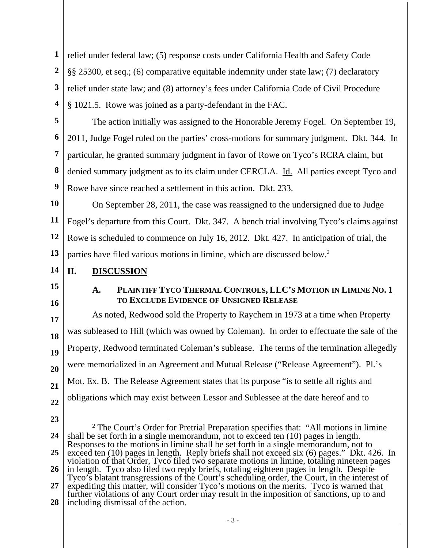**1 2 3 4**  relief under federal law; (5) response costs under California Health and Safety Code §§ 25300, et seq.; (6) comparative equitable indemnity under state law; (7) declaratory relief under state law; and (8) attorney's fees under California Code of Civil Procedure § 1021.5. Rowe was joined as a party-defendant in the FAC.

**5 6 7 8 9**  The action initially was assigned to the Honorable Jeremy Fogel. On September 19, 2011, Judge Fogel ruled on the parties' cross-motions for summary judgment. Dkt. 344. In particular, he granted summary judgment in favor of Rowe on Tyco's RCRA claim, but denied summary judgment as to its claim under CERCLA. Id. All parties except Tyco and Rowe have since reached a settlement in this action. Dkt. 233.

**10 11 12 13**  On September 28, 2011, the case was reassigned to the undersigned due to Judge Fogel's departure from this Court. Dkt. 347. A bench trial involving Tyco's claims against Rowe is scheduled to commence on July 16, 2012. Dkt. 427. In anticipation of trial, the parties have filed various motions in limine, which are discussed below.<sup>2</sup>

- **14 II. DISCUSSION**
- **15**
- **16**

#### **A. PLAINTIFF TYCO THERMAL CONTROLS, LLC'S MOTION IN LIMINE NO. 1 TO EXCLUDE EVIDENCE OF UNSIGNED RELEASE**

**17 18 19 20 21 22**  As noted, Redwood sold the Property to Raychem in 1973 at a time when Property was subleased to Hill (which was owned by Coleman). In order to effectuate the sale of the Property, Redwood terminated Coleman's sublease. The terms of the termination allegedly were memorialized in an Agreement and Mutual Release ("Release Agreement"). Pl.'s Mot. Ex. B. The Release Agreement states that its purpose "is to settle all rights and obligations which may exist between Lessor and Sublessee at the date hereof and to

**23** 

**<sup>24</sup>  25 26 27 28**   $\overline{a}$ <sup>2</sup> The Court's Order for Pretrial Preparation specifies that: "All motions in limine shall be set forth in a single memorandum, not to exceed ten (10) pages in length. Responses to the motions in limine shall be set forth in a single memorandum, not to exceed ten (10) pages in length. Reply briefs shall not exceed six (6) pages." Dkt. 426. In violation of that Order, Tyco filed two separate motions in limine, totaling nineteen pages in length. Tyco also filed two reply briefs, totaling eighteen pages in length. Despite Tyco's blatant transgressions of the Court's scheduling order, the Court, in the interest of expediting this matter, will consider Tyco's motions on the merits. Tyco is warned that further violations of any Court order may result in the imposition of sanctions, up to and including dismissal of the action.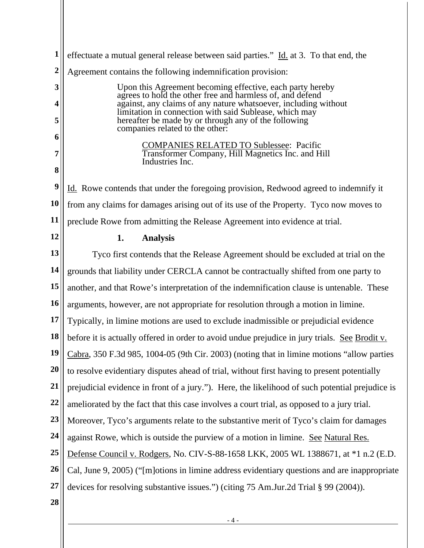| 1              | effectuate a mutual general release between said parties." Id. at 3. To that end, the                                     |  |  |
|----------------|---------------------------------------------------------------------------------------------------------------------------|--|--|
| $\overline{2}$ | Agreement contains the following indemnification provision:                                                               |  |  |
| 3              | Upon this Agreement becoming effective, each party hereby<br>agrees to hold the other free and harmless of, and defend    |  |  |
| 4              | against, any claims of any nature whatsoever, including without<br>limitation in connection with said Sublease, which may |  |  |
| 5              | hereafter be made by or through any of the following<br>companies related to the other:                                   |  |  |
| 6              | <b>COMPANIES RELATED TO Sublessee: Pacific</b>                                                                            |  |  |
| 7              | Transformer Company, Hill Magnetics Inc. and Hill<br>Industries Inc.                                                      |  |  |
| 8              |                                                                                                                           |  |  |
| 9              | Id. Rowe contends that under the foregoing provision, Redwood agreed to indemnify it                                      |  |  |
| 10             | from any claims for damages arising out of its use of the Property. Tyco now moves to                                     |  |  |
| 11             | preclude Rowe from admitting the Release Agreement into evidence at trial.                                                |  |  |
| 12             | <b>Analysis</b><br>1.                                                                                                     |  |  |
| 13             | Tyco first contends that the Release Agreement should be excluded at trial on the                                         |  |  |
| 14             | grounds that liability under CERCLA cannot be contractually shifted from one party to                                     |  |  |
| 15             | another, and that Rowe's interpretation of the indemnification clause is untenable. These                                 |  |  |
| 16             | arguments, however, are not appropriate for resolution through a motion in limine.                                        |  |  |
| 17             | Typically, in limine motions are used to exclude inadmissible or prejudicial evidence                                     |  |  |
| 18             | before it is actually offered in order to avoid undue prejudice in jury trials. See Brodit v.                             |  |  |
| 19             | Cabra, 350 F.3d 985, 1004-05 (9th Cir. 2003) (noting that in limine motions "allow parties                                |  |  |
| 20             | to resolve evidentiary disputes ahead of trial, without first having to present potentially                               |  |  |
| 21             | prejudicial evidence in front of a jury."). Here, the likelihood of such potential prejudice is                           |  |  |
| 22             | ameliorated by the fact that this case involves a court trial, as opposed to a jury trial.                                |  |  |
| 23             | Moreover, Tyco's arguments relate to the substantive merit of Tyco's claim for damages                                    |  |  |
| 24             | against Rowe, which is outside the purview of a motion in limine. See Natural Res.                                        |  |  |
| 25             | Defense Council v. Rodgers, No. CIV-S-88-1658 LKK, 2005 WL 1388671, at *1 n.2 (E.D.                                       |  |  |
| 26             | Cal, June 9, 2005) ("[m]otions in limine address evidentiary questions and are inappropriate                              |  |  |
| <b>27</b>      | devices for resolving substantive issues.") (citing 75 Am.Jur.2d Trial § 99 (2004)).                                      |  |  |
| 28             |                                                                                                                           |  |  |

- 4 -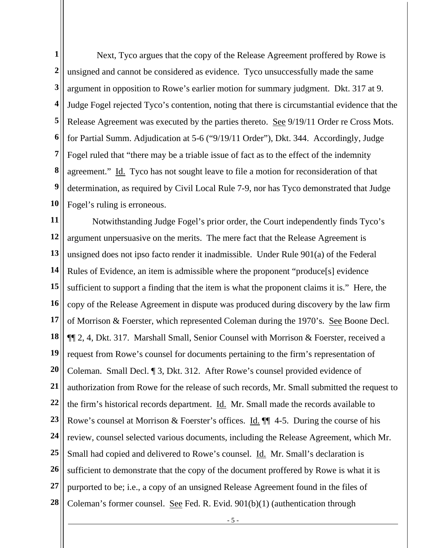**1 2 3 4 5 6 7 8 9 10**  Next, Tyco argues that the copy of the Release Agreement proffered by Rowe is unsigned and cannot be considered as evidence. Tyco unsuccessfully made the same argument in opposition to Rowe's earlier motion for summary judgment. Dkt. 317 at 9. Judge Fogel rejected Tyco's contention, noting that there is circumstantial evidence that the Release Agreement was executed by the parties thereto. See 9/19/11 Order re Cross Mots. for Partial Summ. Adjudication at 5-6 ("9/19/11 Order"), Dkt. 344. Accordingly, Judge Fogel ruled that "there may be a triable issue of fact as to the effect of the indemnity agreement." Id. Tyco has not sought leave to file a motion for reconsideration of that determination, as required by Civil Local Rule 7-9, nor has Tyco demonstrated that Judge Fogel's ruling is erroneous.

**11 12 13 14 15 16 17 18 19 20 21 22 23 24 25 26 27 28**  Notwithstanding Judge Fogel's prior order, the Court independently finds Tyco's argument unpersuasive on the merits. The mere fact that the Release Agreement is unsigned does not ipso facto render it inadmissible. Under Rule 901(a) of the Federal Rules of Evidence, an item is admissible where the proponent "produce[s] evidence sufficient to support a finding that the item is what the proponent claims it is." Here, the copy of the Release Agreement in dispute was produced during discovery by the law firm of Morrison & Foerster, which represented Coleman during the 1970's. See Boone Decl. ¶¶ 2, 4, Dkt. 317. Marshall Small, Senior Counsel with Morrison & Foerster, received a request from Rowe's counsel for documents pertaining to the firm's representation of Coleman. Small Decl. ¶ 3, Dkt. 312. After Rowe's counsel provided evidence of authorization from Rowe for the release of such records, Mr. Small submitted the request to the firm's historical records department. Id. Mr. Small made the records available to Rowe's counsel at Morrison & Foerster's offices. Id.  $\P$  4-5. During the course of his review, counsel selected various documents, including the Release Agreement, which Mr. Small had copied and delivered to Rowe's counsel. Id. Mr. Small's declaration is sufficient to demonstrate that the copy of the document proffered by Rowe is what it is purported to be; i.e., a copy of an unsigned Release Agreement found in the files of Coleman's former counsel. See Fed. R. Evid. 901(b)(1) (authentication through

- 5 -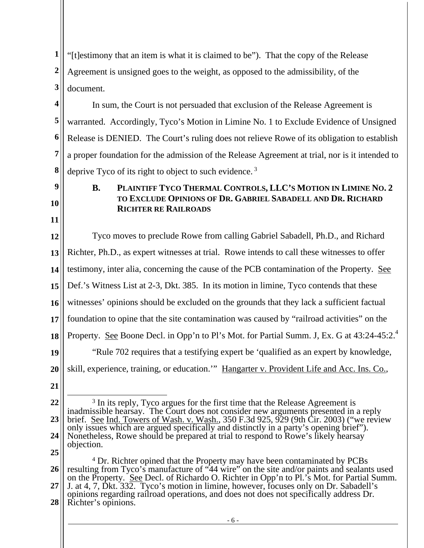**1 2 3**  "[t]estimony that an item is what it is claimed to be"). That the copy of the Release Agreement is unsigned goes to the weight, as opposed to the admissibility, of the document.

**4 5 6 7 8**  In sum, the Court is not persuaded that exclusion of the Release Agreement is warranted. Accordingly, Tyco's Motion in Limine No. 1 to Exclude Evidence of Unsigned Release is DENIED. The Court's ruling does not relieve Rowe of its obligation to establish a proper foundation for the admission of the Release Agreement at trial, nor is it intended to deprive Tyco of its right to object to such evidence.<sup>3</sup>

- **9**
- **10 11**

## **B. PLAINTIFF TYCO THERMAL CONTROLS, LLC'S MOTION IN LIMINE NO. 2 TO EXCLUDE OPINIONS OF DR. GABRIEL SABADELL AND DR. RICHARD RICHTER RE RAILROADS**

**12 13 14 15 16 17 18 19 20**  Tyco moves to preclude Rowe from calling Gabriel Sabadell, Ph.D., and Richard Richter, Ph.D., as expert witnesses at trial. Rowe intends to call these witnesses to offer testimony, inter alia, concerning the cause of the PCB contamination of the Property. See Def.'s Witness List at 2-3, Dkt. 385. In its motion in limine, Tyco contends that these witnesses' opinions should be excluded on the grounds that they lack a sufficient factual foundation to opine that the site contamination was caused by "railroad activities" on the Property. See Boone Decl. in Opp'n to Pl's Mot. for Partial Summ. J, Ex. G at 43:24-45:2.<sup>4</sup> "Rule 702 requires that a testifying expert be 'qualified as an expert by knowledge, skill, experience, training, or education.'" Hangarter v. Provident Life and Acc. Ins. Co.,

**21** 

**<sup>22</sup>  23 24 25**   $\overline{a}$ <sup>3</sup> In its reply, Tyco argues for the first time that the Release Agreement is inadmissible hearsay. The Court does not consider new arguments presented in a reply brief. See Ind. Towers of Wash. v. Wash., 350 F.3d 925, 929 (9th Cir. 2003) ("we review only issues which are argued specifically and distinctly in a party's opening brief"). Nonetheless, Rowe should be prepared at trial to respond to Rowe's likely hearsay objection.

**<sup>26</sup>  27 28**  <sup>4</sup> Dr. Richter opined that the Property may have been contaminated by PCBs resulting from Tyco's manufacture of "44 wire" on the site and/or paints and sealants used on the Property. See Decl. of Richardo O. Richter in Opp'n to Pl.'s Mot. for Partial Summ. J. at 4, 7, Dkt. 332. Tyco's motion in limine, however, focuses only on Dr. Sabadell's opinions regarding railroad operations, and does not does not specifically address Dr. Richter's opinions.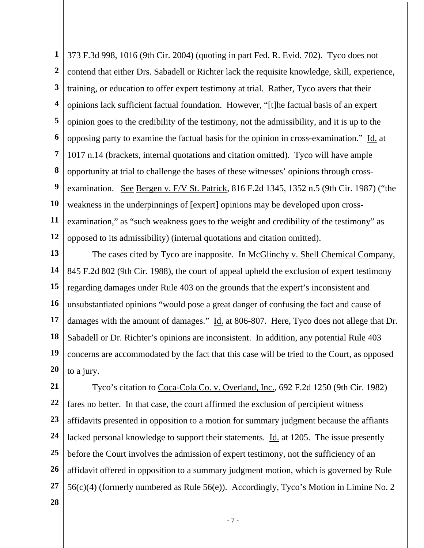**1 2 3 4 5 6 7 8 9 10 11 12**  373 F.3d 998, 1016 (9th Cir. 2004) (quoting in part Fed. R. Evid. 702). Tyco does not contend that either Drs. Sabadell or Richter lack the requisite knowledge, skill, experience, training, or education to offer expert testimony at trial. Rather, Tyco avers that their opinions lack sufficient factual foundation. However, "[t]he factual basis of an expert opinion goes to the credibility of the testimony, not the admissibility, and it is up to the opposing party to examine the factual basis for the opinion in cross-examination." Id. at 1017 n.14 (brackets, internal quotations and citation omitted). Tyco will have ample opportunity at trial to challenge the bases of these witnesses' opinions through crossexamination. See Bergen v. F/V St. Patrick, 816 F.2d 1345, 1352 n.5 (9th Cir. 1987) ("the weakness in the underpinnings of [expert] opinions may be developed upon crossexamination," as "such weakness goes to the weight and credibility of the testimony" as opposed to its admissibility) (internal quotations and citation omitted).

**13 14 15 16 17 18 19 20**  The cases cited by Tyco are inapposite. In McGlinchy v. Shell Chemical Company, 845 F.2d 802 (9th Cir. 1988), the court of appeal upheld the exclusion of expert testimony regarding damages under Rule 403 on the grounds that the expert's inconsistent and unsubstantiated opinions "would pose a great danger of confusing the fact and cause of damages with the amount of damages." Id. at 806-807. Here, Tyco does not allege that Dr. Sabadell or Dr. Richter's opinions are inconsistent. In addition, any potential Rule 403 concerns are accommodated by the fact that this case will be tried to the Court, as opposed to a jury.

**21 22 23 24 25 26 27**  Tyco's citation to Coca-Cola Co. v. Overland, Inc., 692 F.2d 1250 (9th Cir. 1982) fares no better. In that case, the court affirmed the exclusion of percipient witness affidavits presented in opposition to a motion for summary judgment because the affiants lacked personal knowledge to support their statements. Id. at 1205. The issue presently before the Court involves the admission of expert testimony, not the sufficiency of an affidavit offered in opposition to a summary judgment motion, which is governed by Rule 56(c)(4) (formerly numbered as Rule 56(e)). Accordingly, Tyco's Motion in Limine No. 2

**28** 

- 7 -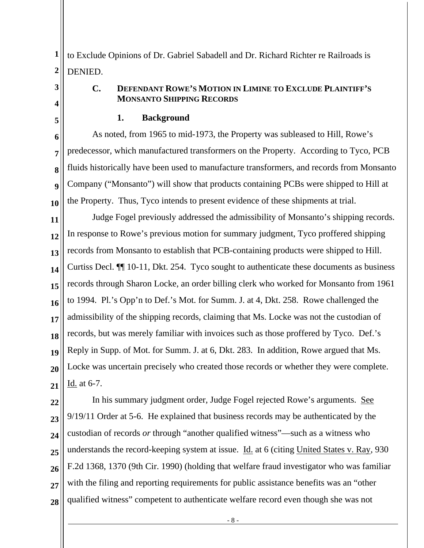**1 2**  to Exclude Opinions of Dr. Gabriel Sabadell and Dr. Richard Richter re Railroads is DENIED.

# **3 4**

#### **C. DEFENDANT ROWE'S MOTION IN LIMINE TO EXCLUDE PLAINTIFF'S MONSANTO SHIPPING RECORDS**

**5** 

#### **1. Background**

**6 7 8 9 10**  As noted, from 1965 to mid-1973, the Property was subleased to Hill, Rowe's predecessor, which manufactured transformers on the Property. According to Tyco, PCB fluids historically have been used to manufacture transformers, and records from Monsanto Company ("Monsanto") will show that products containing PCBs were shipped to Hill at the Property. Thus, Tyco intends to present evidence of these shipments at trial.

**11 12 13 14 15 16 17 18 19 20 21**  Judge Fogel previously addressed the admissibility of Monsanto's shipping records. In response to Rowe's previous motion for summary judgment, Tyco proffered shipping records from Monsanto to establish that PCB-containing products were shipped to Hill. Curtiss Decl. ¶¶ 10-11, Dkt. 254. Tyco sought to authenticate these documents as business records through Sharon Locke, an order billing clerk who worked for Monsanto from 1961 to 1994. Pl.'s Opp'n to Def.'s Mot. for Summ. J. at 4, Dkt. 258. Rowe challenged the admissibility of the shipping records, claiming that Ms. Locke was not the custodian of records, but was merely familiar with invoices such as those proffered by Tyco. Def.'s Reply in Supp. of Mot. for Summ. J. at 6, Dkt. 283. In addition, Rowe argued that Ms. Locke was uncertain precisely who created those records or whether they were complete. Id. at 6-7.

**22 23 24 25 26 27 28**  In his summary judgment order, Judge Fogel rejected Rowe's arguments. See 9/19/11 Order at 5-6. He explained that business records may be authenticated by the custodian of records *or* through "another qualified witness"—such as a witness who understands the record-keeping system at issue. Id. at 6 (citing United States v. Ray, 930 F.2d 1368, 1370 (9th Cir. 1990) (holding that welfare fraud investigator who was familiar with the filing and reporting requirements for public assistance benefits was an "other qualified witness" competent to authenticate welfare record even though she was not

- 8 -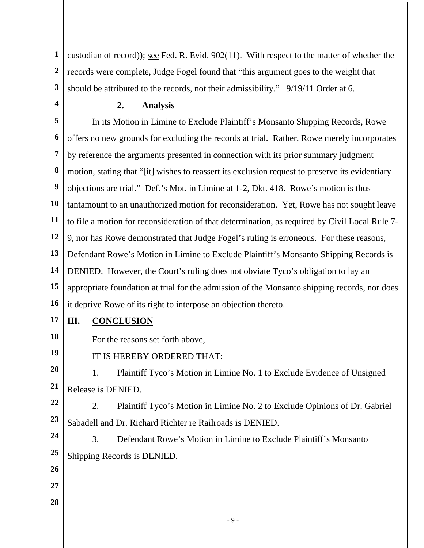**1 2 3**  custodian of record)); see Fed. R. Evid. 902(11). With respect to the matter of whether the records were complete, Judge Fogel found that "this argument goes to the weight that should be attributed to the records, not their admissibility." 9/19/11 Order at 6.

**4** 

### **2. Analysis**

**5 6 7 8 9 10 11 12 13 14 15 16**  In its Motion in Limine to Exclude Plaintiff's Monsanto Shipping Records, Rowe offers no new grounds for excluding the records at trial. Rather, Rowe merely incorporates by reference the arguments presented in connection with its prior summary judgment motion, stating that "[it] wishes to reassert its exclusion request to preserve its evidentiary objections are trial." Def.'s Mot. in Limine at 1-2, Dkt. 418. Rowe's motion is thus tantamount to an unauthorized motion for reconsideration. Yet, Rowe has not sought leave to file a motion for reconsideration of that determination, as required by Civil Local Rule 7- 9, nor has Rowe demonstrated that Judge Fogel's ruling is erroneous. For these reasons, Defendant Rowe's Motion in Limine to Exclude Plaintiff's Monsanto Shipping Records is DENIED. However, the Court's ruling does not obviate Tyco's obligation to lay an appropriate foundation at trial for the admission of the Monsanto shipping records, nor does it deprive Rowe of its right to interpose an objection thereto.

**17** 

**18** 

**19** 

**26** 

**27** 

**28** 

# **III. CONCLUSION**

For the reasons set forth above,

IT IS HEREBY ORDERED THAT:

**20 21**  1. Plaintiff Tyco's Motion in Limine No. 1 to Exclude Evidence of Unsigned Release is DENIED.

**22 23**  2. Plaintiff Tyco's Motion in Limine No. 2 to Exclude Opinions of Dr. Gabriel Sabadell and Dr. Richard Richter re Railroads is DENIED.

**24 25**  3. Defendant Rowe's Motion in Limine to Exclude Plaintiff's Monsanto Shipping Records is DENIED.